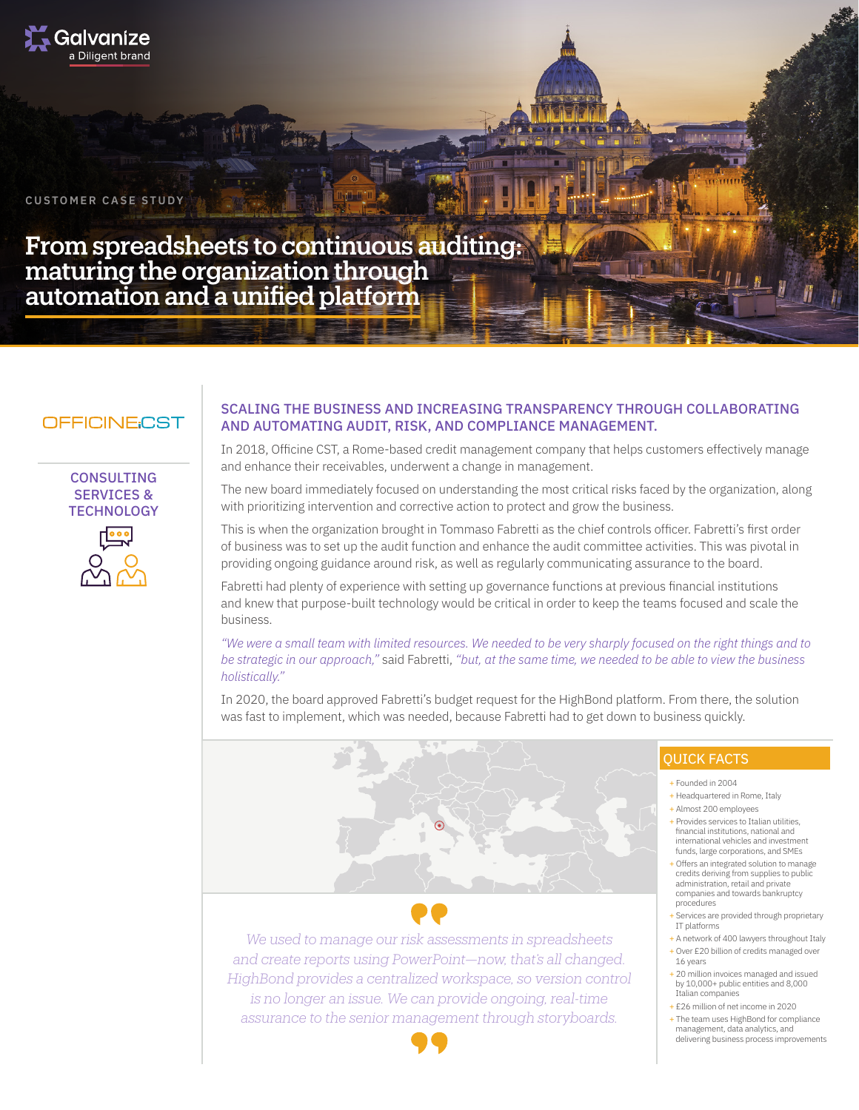

**CUSTOMER CASE STUDY**

From spreadsheets to continuous auditing: maturing the organization through automation and a unified platform

# OFFICINE:CST

## **CONSULTING** SERVICES & **TECHNOLOGY**



### SCALING THE BUSINESS AND INCREASING TRANSPARENCY THROUGH COLLABORATING AND AUTOMATING AUDIT, RISK, AND COMPLIANCE MANAGEMENT.

In 2018, Officine CST, a Rome-based credit management company that helps customers effectively manage and enhance their receivables, underwent a change in management.

The new board immediately focused on understanding the most critical risks faced by the organization, along with prioritizing intervention and corrective action to protect and grow the business.

This is when the organization brought in Tommaso Fabretti as the chief controls officer. Fabretti's first order of business was to set up the audit function and enhance the audit committee activities. This was pivotal in providing ongoing guidance around risk, as well as regularly communicating assurance to the board.

Fabretti had plenty of experience with setting up governance functions at previous financial institutions and knew that purpose-built technology would be critical in order to keep the teams focused and scale the business.

*"We were a small team with limited resources. We needed to be very sharply focused on the right things and to be strategic in our approach,"* said Fabretti, *"but, at the same time, we needed to be able to view the business holistically."*

In 2020, the board approved Fabretti's budget request for the HighBond platform. From there, the solution was fast to implement, which was needed, because Fabretti had to get down to business quickly.



*We used to manage our risk assessments in spreadsheets and create reports using PowerPoint—now, that's all changed. HighBond provides a centralized workspace, so version control is no longer an issue. We can provide ongoing, real-time assurance to the senior management through storyboards.*

# QUICK FACTS

+ Founded in 2004

- + Headquartered in Rome, Italy + Almost 200 employees
- 
- + Provides services to Italian utilities, financial institutions, national and international vehicles and investment funds, large corporations, and SMEs
- + Offers an integrated solution to manage credits deriving from supplies to public administration, retail and private companies and towards bankruptcy procedures
- + Services are provided through proprietary IT platforms
- + A network of 400 lawyers throughout Italy + Over £20 billion of credits managed over
- 16 years + 20 million invoices managed and issued by 10,000+ public entities and 8,000 Italian companies
- + £26 million of net income in 2020
- + The team uses HighBond for compliance management, data analytics, and delivering business process improvements